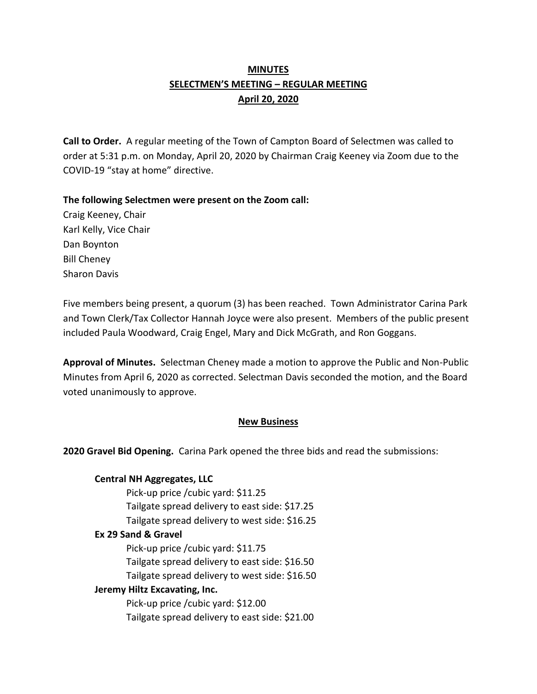# **MINUTES SELECTMEN'S MEETING – REGULAR MEETING April 20, 2020**

**Call to Order.** A regular meeting of the Town of Campton Board of Selectmen was called to order at 5:31 p.m. on Monday, April 20, 2020 by Chairman Craig Keeney via Zoom due to the COVID-19 "stay at home" directive.

### **The following Selectmen were present on the Zoom call:**

Craig Keeney, Chair Karl Kelly, Vice Chair Dan Boynton Bill Cheney Sharon Davis

Five members being present, a quorum (3) has been reached. Town Administrator Carina Park and Town Clerk/Tax Collector Hannah Joyce were also present. Members of the public present included Paula Woodward, Craig Engel, Mary and Dick McGrath, and Ron Goggans.

**Approval of Minutes.** Selectman Cheney made a motion to approve the Public and Non-Public Minutes from April 6, 2020 as corrected. Selectman Davis seconded the motion, and the Board voted unanimously to approve.

#### **New Business**

**2020 Gravel Bid Opening.** Carina Park opened the three bids and read the submissions:

**Central NH Aggregates, LLC** Pick-up price /cubic yard: \$11.25 Tailgate spread delivery to east side: \$17.25 Tailgate spread delivery to west side: \$16.25 **Ex 29 Sand & Gravel** Pick-up price /cubic yard: \$11.75 Tailgate spread delivery to east side: \$16.50 Tailgate spread delivery to west side: \$16.50 **Jeremy Hiltz Excavating, Inc.** Pick-up price /cubic yard: \$12.00 Tailgate spread delivery to east side: \$21.00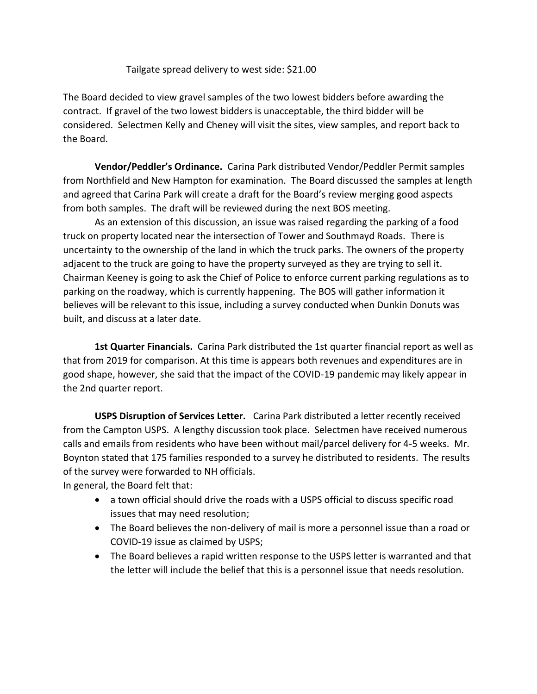Tailgate spread delivery to west side: \$21.00

The Board decided to view gravel samples of the two lowest bidders before awarding the contract. If gravel of the two lowest bidders is unacceptable, the third bidder will be considered. Selectmen Kelly and Cheney will visit the sites, view samples, and report back to the Board.

**Vendor/Peddler's Ordinance.** Carina Park distributed Vendor/Peddler Permit samples from Northfield and New Hampton for examination. The Board discussed the samples at length and agreed that Carina Park will create a draft for the Board's review merging good aspects from both samples. The draft will be reviewed during the next BOS meeting.

As an extension of this discussion, an issue was raised regarding the parking of a food truck on property located near the intersection of Tower and Southmayd Roads. There is uncertainty to the ownership of the land in which the truck parks. The owners of the property adjacent to the truck are going to have the property surveyed as they are trying to sell it. Chairman Keeney is going to ask the Chief of Police to enforce current parking regulations as to parking on the roadway, which is currently happening. The BOS will gather information it believes will be relevant to this issue, including a survey conducted when Dunkin Donuts was built, and discuss at a later date.

**1st Quarter Financials.** Carina Park distributed the 1st quarter financial report as well as that from 2019 for comparison. At this time is appears both revenues and expenditures are in good shape, however, she said that the impact of the COVID-19 pandemic may likely appear in the 2nd quarter report.

**USPS Disruption of Services Letter.** Carina Park distributed a letter recently received from the Campton USPS. A lengthy discussion took place. Selectmen have received numerous calls and emails from residents who have been without mail/parcel delivery for 4-5 weeks. Mr. Boynton stated that 175 families responded to a survey he distributed to residents. The results of the survey were forwarded to NH officials.

In general, the Board felt that:

- a town official should drive the roads with a USPS official to discuss specific road issues that may need resolution;
- The Board believes the non-delivery of mail is more a personnel issue than a road or COVID-19 issue as claimed by USPS;
- The Board believes a rapid written response to the USPS letter is warranted and that the letter will include the belief that this is a personnel issue that needs resolution.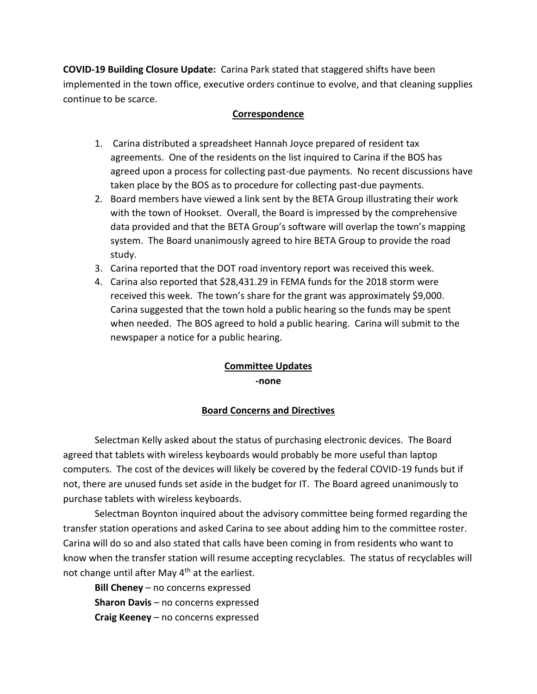**COVID-19 Building Closure Update:** Carina Park stated that staggered shifts have been implemented in the town office, executive orders continue to evolve, and that cleaning supplies continue to be scarce.

### **Correspondence**

- 1. Carina distributed a spreadsheet Hannah Joyce prepared of resident tax agreements. One of the residents on the list inquired to Carina if the BOS has agreed upon a process for collecting past-due payments. No recent discussions have taken place by the BOS as to procedure for collecting past-due payments.
- 2. Board members have viewed a link sent by the BETA Group illustrating their work with the town of Hookset. Overall, the Board is impressed by the comprehensive data provided and that the BETA Group's software will overlap the town's mapping system. The Board unanimously agreed to hire BETA Group to provide the road study.
- 3. Carina reported that the DOT road inventory report was received this week.
- 4. Carina also reported that \$28,431.29 in FEMA funds for the 2018 storm were received this week. The town's share for the grant was approximately \$9,000. Carina suggested that the town hold a public hearing so the funds may be spent when needed. The BOS agreed to hold a public hearing. Carina will submit to the newspaper a notice for a public hearing.

## **Committee Updates -none**

## **Board Concerns and Directives**

Selectman Kelly asked about the status of purchasing electronic devices. The Board agreed that tablets with wireless keyboards would probably be more useful than laptop computers. The cost of the devices will likely be covered by the federal COVID-19 funds but if not, there are unused funds set aside in the budget for IT. The Board agreed unanimously to purchase tablets with wireless keyboards.

Selectman Boynton inquired about the advisory committee being formed regarding the transfer station operations and asked Carina to see about adding him to the committee roster. Carina will do so and also stated that calls have been coming in from residents who want to know when the transfer station will resume accepting recyclables. The status of recyclables will not change until after May 4<sup>th</sup> at the earliest.

**Bill Cheney** – no concerns expressed **Sharon Davis** – no concerns expressed **Craig Keeney** – no concerns expressed